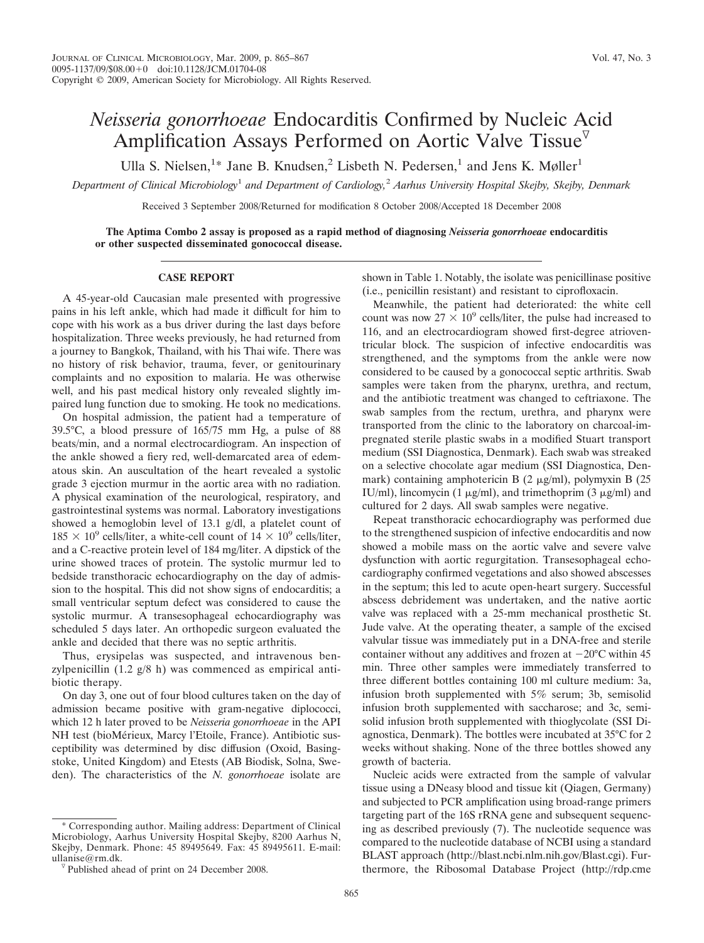## *Neisseria gonorrhoeae* Endocarditis Confirmed by Nucleic Acid Amplification Assays Performed on Aortic Valve Tissue $^{\nabla}$

Ulla S. Nielsen,<sup>1\*</sup> Jane B. Knudsen,<sup>2</sup> Lisbeth N. Pedersen,<sup>1</sup> and Jens K. Møller<sup>1</sup>

*Department of Clinical Microbiology*<sup>1</sup> *and Department of Cardiology,*<sup>2</sup> *Aarhus University Hospital Skejby, Skejby, Denmark*

Received 3 September 2008/Returned for modification 8 October 2008/Accepted 18 December 2008

**The Aptima Combo 2 assay is proposed as a rapid method of diagnosing** *Neisseria gonorrhoeae* **endocarditis or other suspected disseminated gonococcal disease.**

## **CASE REPORT**

A 45-year-old Caucasian male presented with progressive pains in his left ankle, which had made it difficult for him to cope with his work as a bus driver during the last days before hospitalization. Three weeks previously, he had returned from a journey to Bangkok, Thailand, with his Thai wife. There was no history of risk behavior, trauma, fever, or genitourinary complaints and no exposition to malaria. He was otherwise well, and his past medical history only revealed slightly impaired lung function due to smoking. He took no medications.

On hospital admission, the patient had a temperature of 39.5°C, a blood pressure of 165/75 mm Hg, a pulse of 88 beats/min, and a normal electrocardiogram. An inspection of the ankle showed a fiery red, well-demarcated area of edematous skin. An auscultation of the heart revealed a systolic grade 3 ejection murmur in the aortic area with no radiation. A physical examination of the neurological, respiratory, and gastrointestinal systems was normal. Laboratory investigations showed a hemoglobin level of 13.1 g/dl, a platelet count of  $185 \times 10^9$  cells/liter, a white-cell count of  $14 \times 10^9$  cells/liter, and a C-reactive protein level of 184 mg/liter. A dipstick of the urine showed traces of protein. The systolic murmur led to bedside transthoracic echocardiography on the day of admission to the hospital. This did not show signs of endocarditis; a small ventricular septum defect was considered to cause the systolic murmur. A transesophageal echocardiography was scheduled 5 days later. An orthopedic surgeon evaluated the ankle and decided that there was no septic arthritis.

Thus, erysipelas was suspected, and intravenous benzylpenicillin (1.2 g/8 h) was commenced as empirical antibiotic therapy.

On day 3, one out of four blood cultures taken on the day of admission became positive with gram-negative diplococci, which 12 h later proved to be *Neisseria gonorrhoeae* in the API NH test (bioMérieux, Marcy l'Etoile, France). Antibiotic susceptibility was determined by disc diffusion (Oxoid, Basingstoke, United Kingdom) and Etests (AB Biodisk, Solna, Sweden). The characteristics of the *N. gonorrhoeae* isolate are

Corresponding author. Mailing address: Department of Clinical Microbiology, Aarhus University Hospital Skejby, 8200 Aarhus N, Skejby, Denmark. Phone: 45 89495649. Fax: 45 89495611. E-mail: ullanise@rm.dk.

shown in Table 1. Notably, the isolate was penicillinase positive (i.e., penicillin resistant) and resistant to ciprofloxacin.

Meanwhile, the patient had deteriorated: the white cell count was now  $27 \times 10^9$  cells/liter, the pulse had increased to 116, and an electrocardiogram showed first-degree atrioventricular block. The suspicion of infective endocarditis was strengthened, and the symptoms from the ankle were now considered to be caused by a gonococcal septic arthritis. Swab samples were taken from the pharynx, urethra, and rectum, and the antibiotic treatment was changed to ceftriaxone. The swab samples from the rectum, urethra, and pharynx were transported from the clinic to the laboratory on charcoal-impregnated sterile plastic swabs in a modified Stuart transport medium (SSI Diagnostica, Denmark). Each swab was streaked on a selective chocolate agar medium (SSI Diagnostica, Denmark) containing amphotericin B  $(2 \mu g/ml)$ , polymyxin B  $(25 \mu g/ml)$ IU/ml), lincomycin (1  $\mu$ g/ml), and trimethoprim (3  $\mu$ g/ml) and cultured for 2 days. All swab samples were negative.

Repeat transthoracic echocardiography was performed due to the strengthened suspicion of infective endocarditis and now showed a mobile mass on the aortic valve and severe valve dysfunction with aortic regurgitation. Transesophageal echocardiography confirmed vegetations and also showed abscesses in the septum; this led to acute open-heart surgery. Successful abscess debridement was undertaken, and the native aortic valve was replaced with a 25-mm mechanical prosthetic St. Jude valve. At the operating theater, a sample of the excised valvular tissue was immediately put in a DNA-free and sterile container without any additives and frozen at  $-20^{\circ}$ C within 45 min. Three other samples were immediately transferred to three different bottles containing 100 ml culture medium: 3a, infusion broth supplemented with 5% serum; 3b, semisolid infusion broth supplemented with saccharose; and 3c, semisolid infusion broth supplemented with thioglycolate (SSI Diagnostica, Denmark). The bottles were incubated at 35°C for 2 weeks without shaking. None of the three bottles showed any growth of bacteria.

Nucleic acids were extracted from the sample of valvular tissue using a DNeasy blood and tissue kit (Qiagen, Germany) and subjected to PCR amplification using broad-range primers targeting part of the 16S rRNA gene and subsequent sequencing as described previously (7). The nucleotide sequence was compared to the nucleotide database of NCBI using a standard BLAST approach (http://blast.ncbi.nlm.nih.gov/Blast.cgi). Furthermore, the Ribosomal Database Project (http://rdp.cme

 $\nabla$  Published ahead of print on 24 December 2008.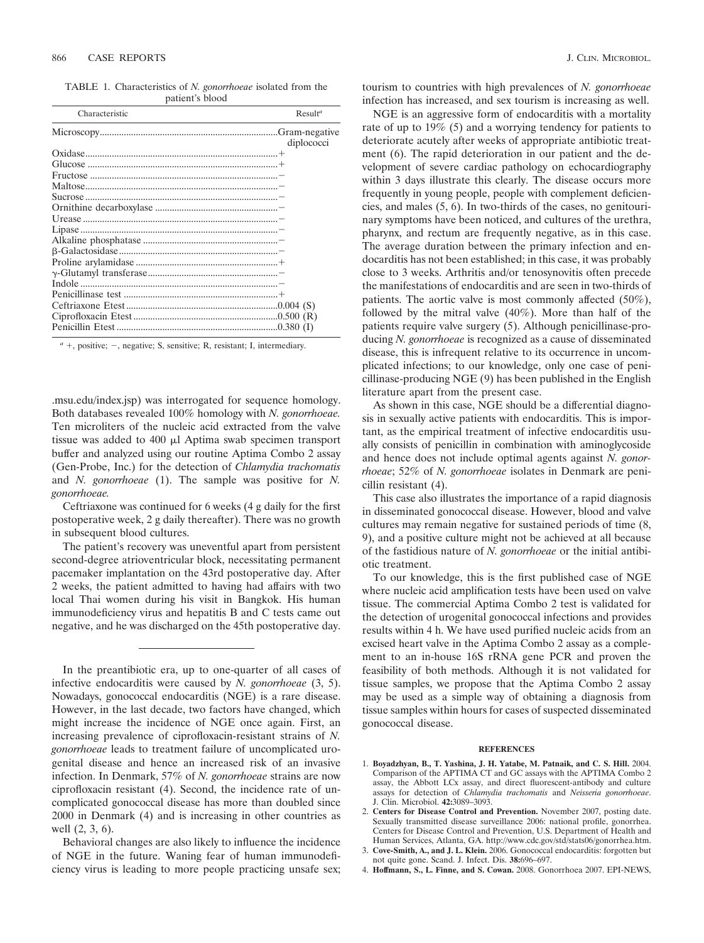TABLE 1. Characteristics of *N. gonorrhoeae* isolated from the patient's blood

| Characteristic | Result <sup>a</sup> |
|----------------|---------------------|
|                | diplococci          |
|                |                     |
|                |                     |
|                |                     |
|                |                     |
|                |                     |
|                |                     |
|                |                     |
|                |                     |
|                |                     |
|                |                     |
|                |                     |
|                |                     |
|                |                     |
|                |                     |
|                |                     |
|                |                     |
|                |                     |

 $a$  +, positive;  $-$ , negative; S, sensitive; R, resistant; I, intermediary.

.msu.edu/index.jsp) was interrogated for sequence homology. Both databases revealed 100% homology with *N. gonorrhoeae.* Ten microliters of the nucleic acid extracted from the valve tissue was added to  $400 \mu l$  Aptima swab specimen transport buffer and analyzed using our routine Aptima Combo 2 assay (Gen-Probe, Inc.) for the detection of *Chlamydia trachomatis* and *N. gonorrhoeae* (1). The sample was positive for *N. gonorrhoeae.*

Ceftriaxone was continued for 6 weeks (4 g daily for the first postoperative week, 2 g daily thereafter). There was no growth in subsequent blood cultures.

The patient's recovery was uneventful apart from persistent second-degree atrioventricular block, necessitating permanent pacemaker implantation on the 43rd postoperative day. After 2 weeks, the patient admitted to having had affairs with two local Thai women during his visit in Bangkok. His human immunodeficiency virus and hepatitis B and C tests came out negative, and he was discharged on the 45th postoperative day.

In the preantibiotic era, up to one-quarter of all cases of infective endocarditis were caused by *N. gonorrhoeae* (3, 5). Nowadays, gonococcal endocarditis (NGE) is a rare disease. However, in the last decade, two factors have changed, which might increase the incidence of NGE once again. First, an increasing prevalence of ciprofloxacin-resistant strains of *N. gonorrhoeae* leads to treatment failure of uncomplicated urogenital disease and hence an increased risk of an invasive infection. In Denmark, 57% of *N. gonorrhoeae* strains are now ciprofloxacin resistant (4). Second, the incidence rate of uncomplicated gonococcal disease has more than doubled since 2000 in Denmark (4) and is increasing in other countries as well (2, 3, 6).

Behavioral changes are also likely to influence the incidence of NGE in the future. Waning fear of human immunodeficiency virus is leading to more people practicing unsafe sex; tourism to countries with high prevalences of *N. gonorrhoeae* infection has increased, and sex tourism is increasing as well.

NGE is an aggressive form of endocarditis with a mortality rate of up to 19% (5) and a worrying tendency for patients to deteriorate acutely after weeks of appropriate antibiotic treatment (6). The rapid deterioration in our patient and the development of severe cardiac pathology on echocardiography within 3 days illustrate this clearly. The disease occurs more frequently in young people, people with complement deficiencies, and males (5, 6). In two-thirds of the cases, no genitourinary symptoms have been noticed, and cultures of the urethra, pharynx, and rectum are frequently negative, as in this case. The average duration between the primary infection and endocarditis has not been established; in this case, it was probably close to 3 weeks. Arthritis and/or tenosynovitis often precede the manifestations of endocarditis and are seen in two-thirds of patients. The aortic valve is most commonly affected (50%), followed by the mitral valve (40%). More than half of the patients require valve surgery (5). Although penicillinase-producing *N. gonorrhoeae* is recognized as a cause of disseminated disease, this is infrequent relative to its occurrence in uncomplicated infections; to our knowledge, only one case of penicillinase-producing NGE (9) has been published in the English literature apart from the present case.

As shown in this case, NGE should be a differential diagnosis in sexually active patients with endocarditis. This is important, as the empirical treatment of infective endocarditis usually consists of penicillin in combination with aminoglycoside and hence does not include optimal agents against *N. gonorrhoeae*; 52% of *N. gonorrhoeae* isolates in Denmark are penicillin resistant (4).

This case also illustrates the importance of a rapid diagnosis in disseminated gonococcal disease. However, blood and valve cultures may remain negative for sustained periods of time (8, 9), and a positive culture might not be achieved at all because of the fastidious nature of *N. gonorrhoeae* or the initial antibiotic treatment.

To our knowledge, this is the first published case of NGE where nucleic acid amplification tests have been used on valve tissue. The commercial Aptima Combo 2 test is validated for the detection of urogenital gonococcal infections and provides results within 4 h. We have used purified nucleic acids from an excised heart valve in the Aptima Combo 2 assay as a complement to an in-house 16S rRNA gene PCR and proven the feasibility of both methods. Although it is not validated for tissue samples, we propose that the Aptima Combo 2 assay may be used as a simple way of obtaining a diagnosis from tissue samples within hours for cases of suspected disseminated gonococcal disease.

## **REFERENCES**

- 1. **Boyadzhyan, B., T. Yashina, J. H. Yatabe, M. Patnaik, and C. S. Hill.** 2004. Comparison of the APTIMA CT and GC assays with the APTIMA Combo 2 assay, the Abbott LCx assay, and direct fluorescent-antibody and culture assays for detection of *Chlamydia trachomatis* and *Neisseria gonorrhoeae*. J. Clin. Microbiol. **42:**3089–3093.
- 2. **Centers for Disease Control and Prevention.** November 2007, posting date. Sexually transmitted disease surveillance 2006: national profile, gonorrhea. Centers for Disease Control and Prevention, U.S. Department of Health and Human Services, Atlanta, GA. http://www.cdc.gov/std/stats06/gonorrhea.htm.
- 3. **Cove-Smith, A., and J. L. Klein.** 2006. Gonococcal endocarditis: forgotten but not quite gone. Scand. J. Infect. Dis. **38:**696–697.
- 4. **Hoffmann, S., L. Finne, and S. Cowan.** 2008. Gonorrhoea 2007. EPI-NEWS,